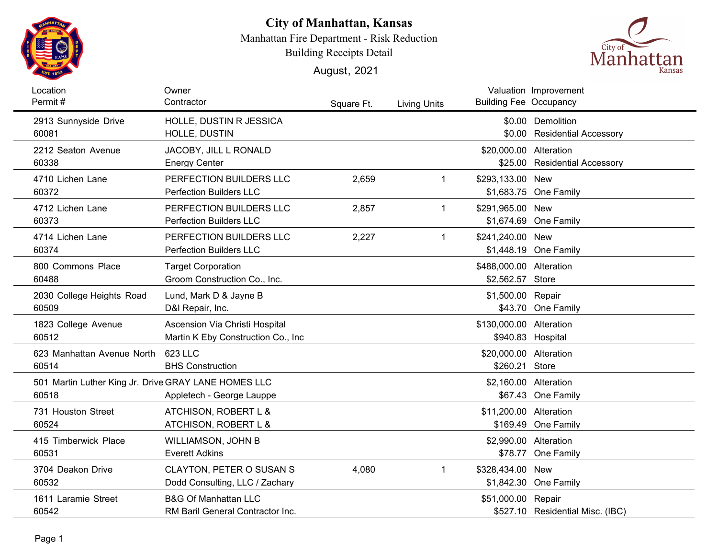

## **City of Manhattan, Kansas**

Manhattan Fire Department - Risk Reduction

Building Receipts Detail

August, 2021



| Location<br>Permit#                                  | Owner<br>Contractor                             |            |                     | <b>Building Fee Occupancy</b> | Valuation Improvement                             |
|------------------------------------------------------|-------------------------------------------------|------------|---------------------|-------------------------------|---------------------------------------------------|
|                                                      |                                                 | Square Ft. | <b>Living Units</b> |                               |                                                   |
| 2913 Sunnyside Drive<br>60081                        | HOLLE, DUSTIN R JESSICA<br><b>HOLLE, DUSTIN</b> |            |                     |                               | \$0.00 Demolition<br>\$0.00 Residential Accessory |
| 2212 Seaton Avenue                                   | JACOBY, JILL L RONALD                           |            |                     | \$20,000.00 Alteration        |                                                   |
| 60338                                                | <b>Energy Center</b>                            |            |                     |                               | \$25.00 Residential Accessory                     |
| 4710 Lichen Lane                                     | PERFECTION BUILDERS LLC                         | 2,659      | 1                   | \$293,133.00 New              |                                                   |
| 60372                                                | <b>Perfection Builders LLC</b>                  |            |                     |                               | \$1,683.75 One Family                             |
| 4712 Lichen Lane                                     | PERFECTION BUILDERS LLC                         | 2,857      | 1                   | \$291,965.00 New              |                                                   |
| 60373                                                | <b>Perfection Builders LLC</b>                  |            |                     |                               | \$1,674.69 One Family                             |
| 4714 Lichen Lane                                     | PERFECTION BUILDERS LLC                         | 2,227      | 1                   | \$241,240.00 New              |                                                   |
| 60374                                                | <b>Perfection Builders LLC</b>                  |            |                     |                               | \$1,448.19 One Family                             |
| 800 Commons Place                                    | <b>Target Corporation</b>                       |            |                     | \$488,000.00 Alteration       |                                                   |
| 60488                                                | Groom Construction Co., Inc.                    |            |                     | \$2,562.57 Store              |                                                   |
| 2030 College Heights Road                            | Lund, Mark D & Jayne B                          |            |                     | \$1,500.00 Repair             |                                                   |
| 60509                                                | D&I Repair, Inc.                                |            |                     |                               | \$43.70 One Family                                |
| 1823 College Avenue                                  | Ascension Via Christi Hospital                  |            |                     | \$130,000.00 Alteration       |                                                   |
| 60512                                                | Martin K Eby Construction Co., Inc.             |            |                     | \$940.83 Hospital             |                                                   |
| 623 Manhattan Avenue North                           | 623 LLC                                         |            |                     | \$20,000.00 Alteration        |                                                   |
| 60514                                                | <b>BHS Construction</b>                         |            |                     | \$260.21 Store                |                                                   |
| 501 Martin Luther King Jr. Drive GRAY LANE HOMES LLC |                                                 |            |                     | \$2,160.00 Alteration         |                                                   |
| 60518                                                | Appletech - George Lauppe                       |            |                     |                               | \$67.43 One Family                                |
| 731 Houston Street                                   | ATCHISON, ROBERT L &                            |            |                     | \$11,200.00 Alteration        |                                                   |
| 60524                                                | ATCHISON, ROBERT L &                            |            |                     |                               | \$169.49 One Family                               |
| 415 Timberwick Place                                 | <b>WILLIAMSON, JOHN B</b>                       |            |                     | \$2,990.00 Alteration         |                                                   |
| 60531                                                | <b>Everett Adkins</b>                           |            |                     |                               | \$78.77 One Family                                |
| 3704 Deakon Drive                                    | <b>CLAYTON, PETER O SUSAN S</b>                 | 4,080      | 1.                  | \$328,434.00 New              |                                                   |
| 60532                                                | Dodd Consulting, LLC / Zachary                  |            |                     |                               | \$1,842.30 One Family                             |
| 1611 Laramie Street                                  | <b>B&amp;G Of Manhattan LLC</b>                 |            |                     | \$51,000.00 Repair            |                                                   |
| 60542                                                | RM Baril General Contractor Inc.                |            |                     |                               | \$527.10 Residential Misc. (IBC)                  |